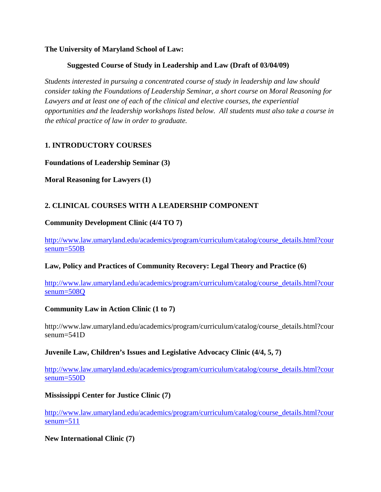## **The University of Maryland School of Law:**

# **Suggested Course of Study in Leadership and Law (Draft of 03/04/09)**

*Students interested in pursuing a concentrated course of study in leadership and law should consider taking the Foundations of Leadership Seminar, a short course on Moral Reasoning for Lawyers and at least one of each of the clinical and elective courses, the experiential opportunities and the leadership workshops listed below. All students must also take a course in the ethical practice of law in order to graduate.* 

# **1. INTRODUCTORY COURSES**

## **Foundations of Leadership Seminar (3)**

**Moral Reasoning for Lawyers (1)** 

# **2. CLINICAL COURSES WITH A LEADERSHIP COMPONENT**

## **Community Development Clinic (4/4 TO 7)**

[http://www.law.umaryland.edu/academics/program/curriculum/catalog/course\\_details.html?cour](https://newmail.law.umaryland.edu/exchweb/bin/redir.asp?URL=http://www.law.umaryland.edu/academics/program/curriculum/catalog/course_details.html?coursenum=550B) [senum=550B](https://newmail.law.umaryland.edu/exchweb/bin/redir.asp?URL=http://www.law.umaryland.edu/academics/program/curriculum/catalog/course_details.html?coursenum=550B)

# **Law, Policy and Practices of Community Recovery: Legal Theory and Practice (6)**

[http://www.law.umaryland.edu/academics/program/curriculum/catalog/course\\_details.html?cour](https://newmail.law.umaryland.edu/exchweb/bin/redir.asp?URL=http://www.law.umaryland.edu/academics/program/curriculum/catalog/course_details.html?coursenum=508Q) [senum=508Q](https://newmail.law.umaryland.edu/exchweb/bin/redir.asp?URL=http://www.law.umaryland.edu/academics/program/curriculum/catalog/course_details.html?coursenum=508Q)

# **Community Law in Action Clinic (1 to 7)**

http://www.law.umaryland.edu/academics/program/curriculum/catalog/course\_details.html?cour senum=541D

#### **Juvenile Law, Children's Issues and Legislative Advocacy Clinic (4/4, 5, 7)**

[http://www.law.umaryland.edu/academics/program/curriculum/catalog/course\\_details.html?cour](http://www.law.umaryland.edu/academics/program/curriculum/catalog/course_details.html?coursenum=550D) [senum=550D](http://www.law.umaryland.edu/academics/program/curriculum/catalog/course_details.html?coursenum=550D)

# **Mississippi Center for Justice Clinic (7)**

[http://www.law.umaryland.edu/academics/program/curriculum/catalog/course\\_details.html?cour](http://www.law.umaryland.edu/academics/program/curriculum/catalog/course_details.html?coursenum=511) [senum=511](http://www.law.umaryland.edu/academics/program/curriculum/catalog/course_details.html?coursenum=511)

#### **New International Clinic (7)**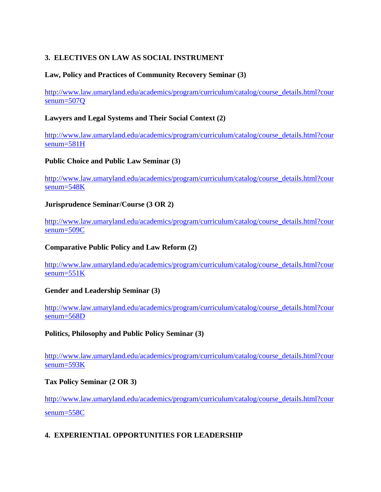# **3. ELECTIVES ON LAW AS SOCIAL INSTRUMENT**

## **Law, Policy and Practices of Community Recovery Seminar (3)**

[http://www.law.umaryland.edu/academics/program/curriculum/catalog/course\\_details.html?cour](http://www.law.umaryland.edu/academics/program/curriculum/catalog/course_details.html?coursenum=507Q) [senum=507Q](http://www.law.umaryland.edu/academics/program/curriculum/catalog/course_details.html?coursenum=507Q)

## **Lawyers and Legal Systems and Their Social Context (2)**

[http://www.law.umaryland.edu/academics/program/curriculum/catalog/course\\_details.html?cour](https://newmail.law.umaryland.edu/exchweb/bin/redir.asp?URL=http://www.law.umaryland.edu/academics/program/curriculum/catalog/course_details.html?coursenum=581H) [senum=581H](https://newmail.law.umaryland.edu/exchweb/bin/redir.asp?URL=http://www.law.umaryland.edu/academics/program/curriculum/catalog/course_details.html?coursenum=581H)

## **Public Choice and Public Law Seminar (3)**

[http://www.law.umaryland.edu/academics/program/curriculum/catalog/course\\_details.html?cour](https://newmail.law.umaryland.edu/exchweb/bin/redir.asp?URL=http://www.law.umaryland.edu/academics/program/curriculum/catalog/course_details.html?coursenum=548K) [senum=548K](https://newmail.law.umaryland.edu/exchweb/bin/redir.asp?URL=http://www.law.umaryland.edu/academics/program/curriculum/catalog/course_details.html?coursenum=548K)

## **Jurisprudence Seminar/Course (3 OR 2)**

[http://www.law.umaryland.edu/academics/program/curriculum/catalog/course\\_details.html?cour](https://newmail.law.umaryland.edu/exchweb/bin/redir.asp?URL=http://www.law.umaryland.edu/academics/program/curriculum/catalog/course_details.html?coursenum=509C) [senum=509C](https://newmail.law.umaryland.edu/exchweb/bin/redir.asp?URL=http://www.law.umaryland.edu/academics/program/curriculum/catalog/course_details.html?coursenum=509C)

#### **Comparative Public Policy and Law Reform (2)**

[http://www.law.umaryland.edu/academics/program/curriculum/catalog/course\\_details.html?cour](https://newmail.law.umaryland.edu/exchweb/bin/redir.asp?URL=http://www.law.umaryland.edu/academics/program/curriculum/catalog/course_details.html?coursenum=551K) [senum=551K](https://newmail.law.umaryland.edu/exchweb/bin/redir.asp?URL=http://www.law.umaryland.edu/academics/program/curriculum/catalog/course_details.html?coursenum=551K)

#### **Gender and Leadership Seminar (3)**

[http://www.law.umaryland.edu/academics/program/curriculum/catalog/course\\_details.html?cour](https://newmail.law.umaryland.edu/exchweb/bin/redir.asp?URL=http://www.law.umaryland.edu/academics/program/curriculum/catalog/course_details.html?coursenum=568D) [senum=568D](https://newmail.law.umaryland.edu/exchweb/bin/redir.asp?URL=http://www.law.umaryland.edu/academics/program/curriculum/catalog/course_details.html?coursenum=568D)

#### **Politics, Philosophy and Public Policy Seminar (3)**

[http://www.law.umaryland.edu/academics/program/curriculum/catalog/course\\_details.html?cour](https://newmail.law.umaryland.edu/exchweb/bin/redir.asp?URL=http://www.law.umaryland.edu/academics/program/curriculum/catalog/course_details.html?coursenum=593K) [senum=593K](https://newmail.law.umaryland.edu/exchweb/bin/redir.asp?URL=http://www.law.umaryland.edu/academics/program/curriculum/catalog/course_details.html?coursenum=593K)

#### **Tax Policy Seminar (2 OR 3)**

[http://www.law.umaryland.edu/academics/program/curriculum/catalog/course\\_details.html?cour](https://newmail.law.umaryland.edu/exchweb/bin/redir.asp?URL=http://www.law.umaryland.edu/academics/program/curriculum/catalog/course_details.html?coursenum=558C) [senum=558C](https://newmail.law.umaryland.edu/exchweb/bin/redir.asp?URL=http://www.law.umaryland.edu/academics/program/curriculum/catalog/course_details.html?coursenum=558C)

# **4. EXPERIENTIAL OPPORTUNITIES FOR LEADERSHIP**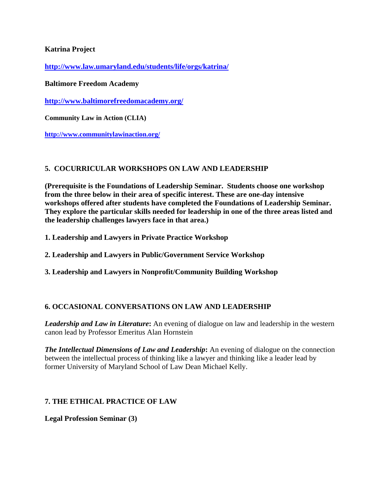# **Katrina Project**

**<http://www.law.umaryland.edu/students/life/orgs/katrina/>**

**Baltimore Freedom Academy** 

**<http://www.baltimorefreedomacademy.org/>**

**Community Law in Action (CLIA)** 

**<http://www.communitylawinaction.org/>**

# **5. COCURRICULAR WORKSHOPS ON LAW AND LEADERSHIP**

**(Prerequisite is the Foundations of Leadership Seminar. Students choose one workshop from the three below in their area of specific interest. These are one-day intensive workshops offered after students have completed the Foundations of Leadership Seminar. They explore the particular skills needed for leadership in one of the three areas listed and the leadership challenges lawyers face in that area.)** 

**1. Leadership and Lawyers in Private Practice Workshop** 

**2. Leadership and Lawyers in Public/Government Service Workshop** 

**3. Leadership and Lawyers in Nonprofit/Community Building Workshop** 

# **6. OCCASIONAL CONVERSATIONS ON LAW AND LEADERSHIP**

*Leadership and Law in Literature***:** An evening of dialogue on law and leadership in the western canon lead by Professor Emeritus Alan Hornstein

*The Intellectual Dimensions of Law and Leadership***:** An evening of dialogue on the connection between the intellectual process of thinking like a lawyer and thinking like a leader lead by former University of Maryland School of Law Dean Michael Kelly.

# **7. THE ETHICAL PRACTICE OF LAW**

**Legal Profession Seminar (3)**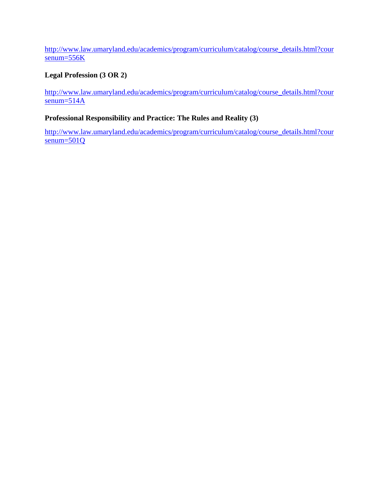[http://www.law.umaryland.edu/academics/program/curriculum/catalog/course\\_details.html?cour](https://newmail.law.umaryland.edu/exchweb/bin/redir.asp?URL=http://www.law.umaryland.edu/academics/program/curriculum/catalog/course_details.html?coursenum=556K) [senum=556K](https://newmail.law.umaryland.edu/exchweb/bin/redir.asp?URL=http://www.law.umaryland.edu/academics/program/curriculum/catalog/course_details.html?coursenum=556K)

# **Legal Profession (3 OR 2)**

[http://www.law.umaryland.edu/academics/program/curriculum/catalog/course\\_details.html?cour](https://newmail.law.umaryland.edu/exchweb/bin/redir.asp?URL=http://www.law.umaryland.edu/academics/program/curriculum/catalog/course_details.html?coursenum=514A) [senum=514A](https://newmail.law.umaryland.edu/exchweb/bin/redir.asp?URL=http://www.law.umaryland.edu/academics/program/curriculum/catalog/course_details.html?coursenum=514A)

# **Professional Responsibility and Practice: The Rules and Reality (3)**

[http://www.law.umaryland.edu/academics/program/curriculum/catalog/course\\_details.html?cour](http://www.law.umaryland.edu/academics/program/curriculum/catalog/course_details.html?coursenum=501Q) [senum=501Q](http://www.law.umaryland.edu/academics/program/curriculum/catalog/course_details.html?coursenum=501Q)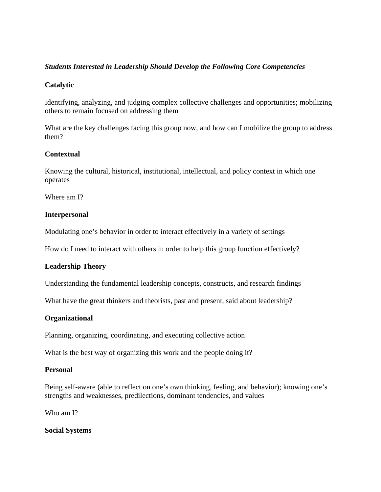## *Students Interested in Leadership Should Develop the Following Core Competencies*

## **Catalytic**

Identifying, analyzing, and judging complex collective challenges and opportunities; mobilizing others to remain focused on addressing them

What are the key challenges facing this group now, and how can I mobilize the group to address them?

## **Contextual**

Knowing the cultural, historical, institutional, intellectual, and policy context in which one operates

Where am I?

#### **Interpersonal**

Modulating one's behavior in order to interact effectively in a variety of settings

How do I need to interact with others in order to help this group function effectively?

#### **Leadership Theory**

Understanding the fundamental leadership concepts, constructs, and research findings

What have the great thinkers and theorists, past and present, said about leadership?

#### **Organizational**

Planning, organizing, coordinating, and executing collective action

What is the best way of organizing this work and the people doing it?

#### **Personal**

Being self-aware (able to reflect on one's own thinking, feeling, and behavior); knowing one's strengths and weaknesses, predilections, dominant tendencies, and values

Who am I?

**Social Systems**